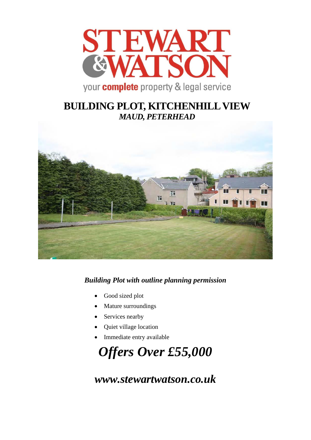

## **BUILDING PLOT, KITCHENHILL VIEW** *MAUD, PETERHEAD*



## *Building Plot with outline planning permission*

- Good sized plot
- Mature surroundings
- Services nearby
- Quiet village location
- Immediate entry available

# *Offers Over £55,000*

*www.stewartwatson.co.uk*